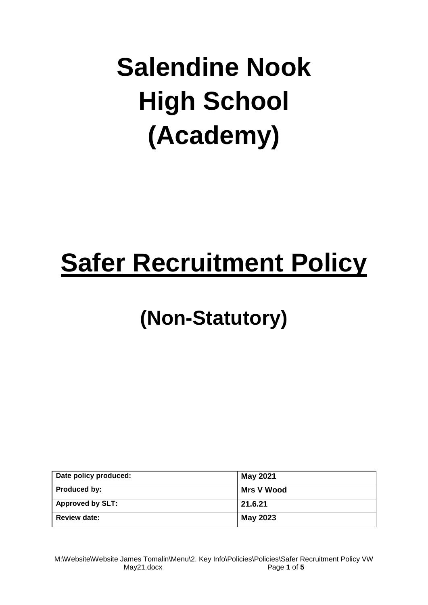# **Salendine Nook High School (Academy)**

## **Safer Recruitment Policy**

### **(Non-Statutory)**

| Date policy produced:   | <b>May 2021</b> |
|-------------------------|-----------------|
| <b>Produced by:</b>     | Mrs V Wood      |
| <b>Approved by SLT:</b> | 21.6.21         |
| <b>Review date:</b>     | <b>May 2023</b> |

M:\Website\Website James Tomalin\Menu\2. Key Info\Policies\Policies\Safer Recruitment Policy VW May21.docx Page **1** of **5**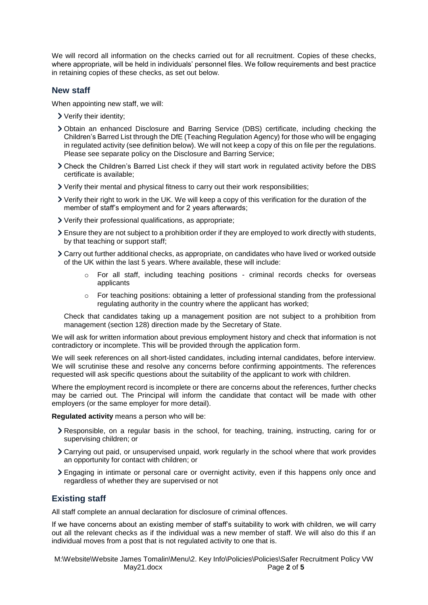We will record all information on the checks carried out for all recruitment. Copies of these checks, where appropriate, will be held in individuals' personnel files. We follow requirements and best practice in retaining copies of these checks, as set out below.

#### **New staff**

When appointing new staff, we will:

- Verify their identity;
- Obtain an enhanced Disclosure and Barring Service (DBS) certificate, including checking the Children's Barred List through the DfE (Teaching Regulation Agency) for those who will be engaging in regulated activity (see definition below). We will not keep a copy of this on file per the regulations. Please see separate policy on the Disclosure and Barring Service;
- Check the Children's Barred List check if they will start work in regulated activity before the DBS certificate is available;
- Verify their mental and physical fitness to carry out their work responsibilities;
- Verify their right to work in the UK. We will keep a copy of this verification for the duration of the member of staff's employment and for 2 years afterwards;
- Verify their professional qualifications, as appropriate;
- Ensure they are not subject to a prohibition order if they are employed to work directly with students, by that teaching or support staff:
- Carry out further additional checks, as appropriate, on candidates who have lived or worked outside of the UK within the last 5 years. Where available, these will include:
	- $\circ$  For all staff, including teaching positions criminal records checks for overseas [applicants](https://www.gov.uk/government/publications/criminal-records-checks-for-overseas-applicants)
	- $\circ$  For teaching positions: obtaining a letter of professional standing from the professional regulating authority in the country where the applicant has worked;

Check that candidates taking up a management position are not subject to a prohibition from management (section 128) direction made by the Secretary of State.

We will ask for written information about previous employment history and check that information is not contradictory or incomplete. This will be provided through the application form.

We will seek references on all short-listed candidates, including internal candidates, before interview. We will scrutinise these and resolve any concerns before confirming appointments. The references requested will ask specific questions about the suitability of the applicant to work with children.

Where the employment record is incomplete or there are concerns about the references, further checks may be carried out. The Principal will inform the candidate that contact will be made with other employers (or the same employer for more detail).

**Regulated activity** means a person who will be:

- Responsible, on a regular basis in the school, for teaching, training, instructing, caring for or supervising children; or
- Carrying out paid, or unsupervised unpaid, work regularly in the school where that work provides an opportunity for contact with children; or
- Engaging in intimate or personal care or overnight activity, even if this happens only once and regardless of whether they are supervised or not

#### **Existing staff**

All staff complete an annual declaration for disclosure of criminal offences.

If we have concerns about an existing member of staff's suitability to work with children, we will carry out all the relevant checks as if the individual was a new member of staff. We will also do this if an individual moves from a post that is not regulated activity to one that is.

M:\Website\Website James Tomalin\Menu\2. Key Info\Policies\Policies\Safer Recruitment Policy VW May21.docx Page **2** of **5**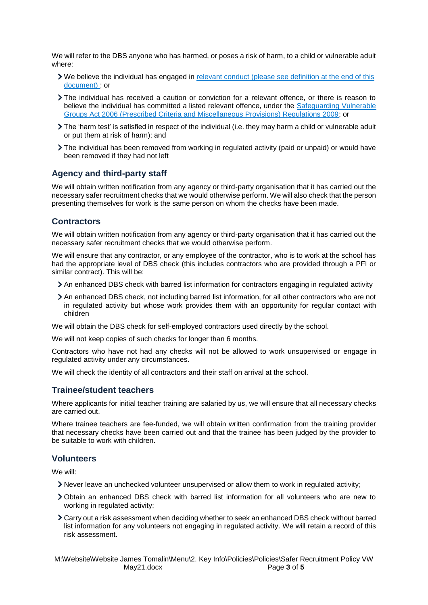We will refer to the DBS anyone who has harmed, or poses a risk of harm, to a child or vulnerable adult where:

- We believe the individual has engaged in [relevant conduct](https://www.gov.uk/guidance/making-barring-referrals-to-the-dbs#relevant-conduct-in-relation-to-children) (please see definition at the end of this document) ; or
- The individual has received a caution or conviction for a relevant offence, or there is reason to believe the individual has committed a listed relevant offence, under the Safeguarding Vulnerable [Groups Act 2006 \(Prescribed Criteria and Miscellaneous Provisions\) Regulations 2009;](http://www.legislation.gov.uk/uksi/2009/37/contents/made) or
- The 'harm test' is satisfied in respect of the individual (i.e. they may harm a child or vulnerable adult or put them at risk of harm); and
- The individual has been removed from working in regulated activity (paid or unpaid) or would have been removed if they had not left

#### **Agency and third-party staff**

We will obtain written notification from any agency or third-party organisation that it has carried out the necessary safer recruitment checks that we would otherwise perform. We will also check that the person presenting themselves for work is the same person on whom the checks have been made.

#### **Contractors**

We will obtain written notification from any agency or third-party organisation that it has carried out the necessary safer recruitment checks that we would otherwise perform.

We will ensure that any contractor, or any employee of the contractor, who is to work at the school has had the appropriate level of DBS check (this includes contractors who are provided through a PFI or similar contract). This will be:

- An enhanced DBS check with barred list information for contractors engaging in regulated activity
- An enhanced DBS check, not including barred list information, for all other contractors who are not in regulated activity but whose work provides them with an opportunity for regular contact with children

We will obtain the DBS check for self-employed contractors used directly by the school.

We will not keep copies of such checks for longer than 6 months.

Contractors who have not had any checks will not be allowed to work unsupervised or engage in regulated activity under any circumstances.

We will check the identity of all contractors and their staff on arrival at the school.

#### **Trainee/student teachers**

Where applicants for initial teacher training are salaried by us, we will ensure that all necessary checks are carried out.

Where trainee teachers are fee-funded, we will obtain written confirmation from the training provider that necessary checks have been carried out and that the trainee has been judged by the provider to be suitable to work with children.

#### **Volunteers**

We will:

- Never leave an unchecked volunteer unsupervised or allow them to work in regulated activity;
- Obtain an enhanced DBS check with barred list information for all volunteers who are new to working in regulated activity;
- Carry out a risk assessment when deciding whether to seek an enhanced DBS check without barred list information for any volunteers not engaging in regulated activity. We will retain a record of this risk assessment.

M:\Website\Website James Tomalin\Menu\2. Key Info\Policies\Policies\Safer Recruitment Policy VW May21.docx Page **3** of **5**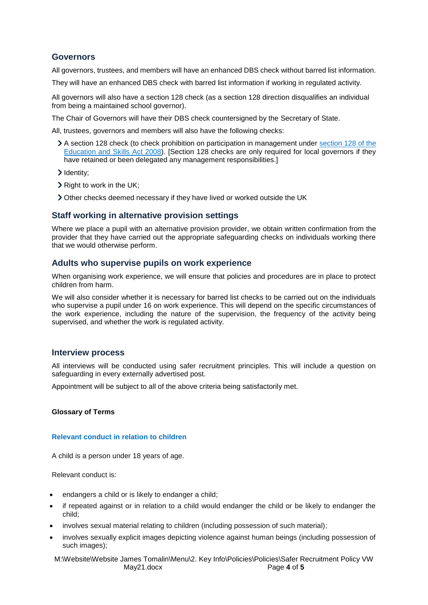#### **Governors**

All governors, trustees, and members will have an enhanced DBS check without barred list information.

They will have an enhanced DBS check with barred list information if working in regulated activity.

All governors will also have a section 128 check (as a section 128 direction disqualifies an individual from being a maintained school governor).

The Chair of Governors will have their DBS check countersigned by the Secretary of State.

All, trustees, governors and members will also have the following checks:

- A section 128 check (to check prohibition on participation in management under [section 128 of the](https://www.legislation.gov.uk/ukpga/2008/25/section/128)  [Education and Skills Act 2008\)](https://www.legislation.gov.uk/ukpga/2008/25/section/128). [Section 128 checks are only required for local governors if they have retained or been delegated any management responsibilities.]
- > Identity;
- > Right to work in the UK;
- Other checks deemed necessary if they have lived or worked outside the UK

#### **Staff working in alternative provision settings**

Where we place a pupil with an alternative provision provider, we obtain written confirmation from the provider that they have carried out the appropriate safeguarding checks on individuals working there that we would otherwise perform.

#### **Adults who supervise pupils on work experience**

When organising work experience, we will ensure that policies and procedures are in place to protect children from harm.

We will also consider whether it is necessary for barred list checks to be carried out on the individuals who supervise a pupil under 16 on work experience. This will depend on the specific circumstances of the work experience, including the nature of the supervision, the frequency of the activity being supervised, and whether the work is regulated activity.

#### **Interview process**

All interviews will be conducted using safer recruitment principles. This will include a question on safeguarding in every externally advertised post.

Appointment will be subject to all of the above criteria being satisfactorily met.

#### **Glossary of Terms**

#### **Relevant conduct in relation to children**

A child is a person under 18 years of age.

Relevant conduct is:

- endangers a child or is likely to endanger a child;
- if repeated against or in relation to a child would endanger the child or be likely to endanger the child;
- involves sexual material relating to children (including possession of such material);
- involves sexually explicit images depicting violence against human beings (including possession of such images);

M:\Website\Website James Tomalin\Menu\2. Key Info\Policies\Policies\Safer Recruitment Policy VW May21.docx Page **4** of **5**